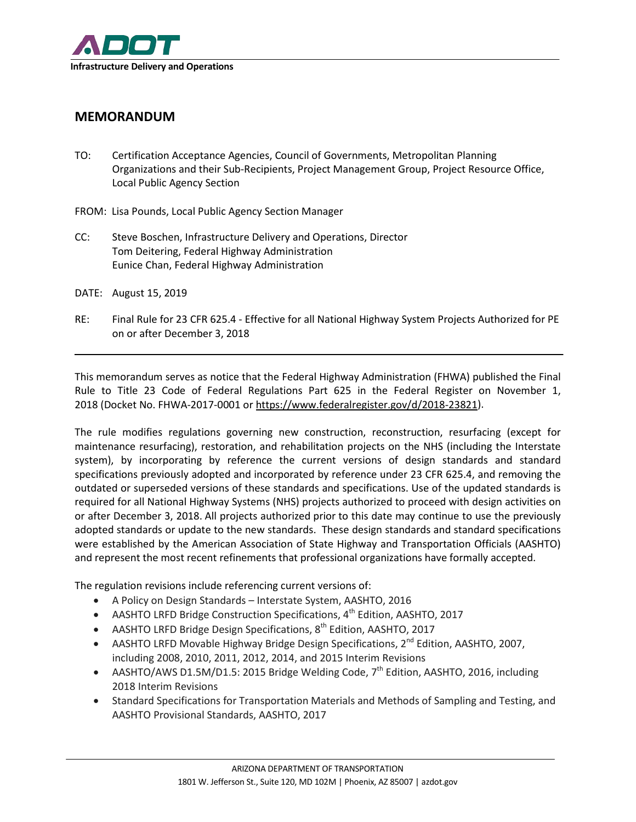

## **MEMORANDUM**

- TO: Certification Acceptance Agencies, Council of Governments, Metropolitan Planning Organizations and their Sub-Recipients, Project Management Group, Project Resource Office, Local Public Agency Section
- FROM: Lisa Pounds, Local Public Agency Section Manager
- CC: Steve Boschen, Infrastructure Delivery and Operations, Director Tom Deitering, Federal Highway Administration Eunice Chan, Federal Highway Administration
- DATE: August 15, 2019
- RE: Final Rule for 23 CFR 625.4 Effective for all National Highway System Projects Authorized for PE on or after December 3, 2018

This memorandum serves as notice that the Federal Highway Administration (FHWA) published the Final Rule to Title 23 Code of Federal Regulations Part 625 in the Federal Register on November 1, 2018 (Docket No. FHWA-2017-0001 or [https://www.federalregister.gov/d/2018-23821\)](https://www.federalregister.gov/d/2018-23821).

The rule modifies regulations governing new construction, reconstruction, resurfacing (except for maintenance resurfacing), restoration, and rehabilitation projects on the NHS (including the Interstate system), by incorporating by reference the current versions of design standards and standard specifications previously adopted and incorporated by reference under 23 CFR 625.4, and removing the outdated or superseded versions of these standards and specifications. Use of the updated standards is required for all National Highway Systems (NHS) projects authorized to proceed with design activities on or after December 3, 2018. All projects authorized prior to this date may continue to use the previously adopted standards or update to the new standards. These design standards and standard specifications were established by the American Association of State Highway and Transportation Officials (AASHTO) and represent the most recent refinements that professional organizations have formally accepted.

The regulation revisions include referencing current versions of:

- A Policy on Design Standards Interstate System, AASHTO, 2016
- AASHTO LRFD Bridge Construction Specifications, 4<sup>th</sup> Edition, AASHTO, 2017
- AASHTO LRFD Bridge Design Specifications,  $8<sup>th</sup>$  Edition, AASHTO, 2017
- AASHTO LRFD Movable Highway Bridge Design Specifications, 2<sup>nd</sup> Edition, AASHTO, 2007, including 2008, 2010, 2011, 2012, 2014, and 2015 Interim Revisions
- AASHTO/AWS D1.5M/D1.5: 2015 Bridge Welding Code,  $7^{th}$  Edition, AASHTO, 2016, including 2018 Interim Revisions
- Standard Specifications for Transportation Materials and Methods of Sampling and Testing, and AASHTO Provisional Standards, AASHTO, 2017